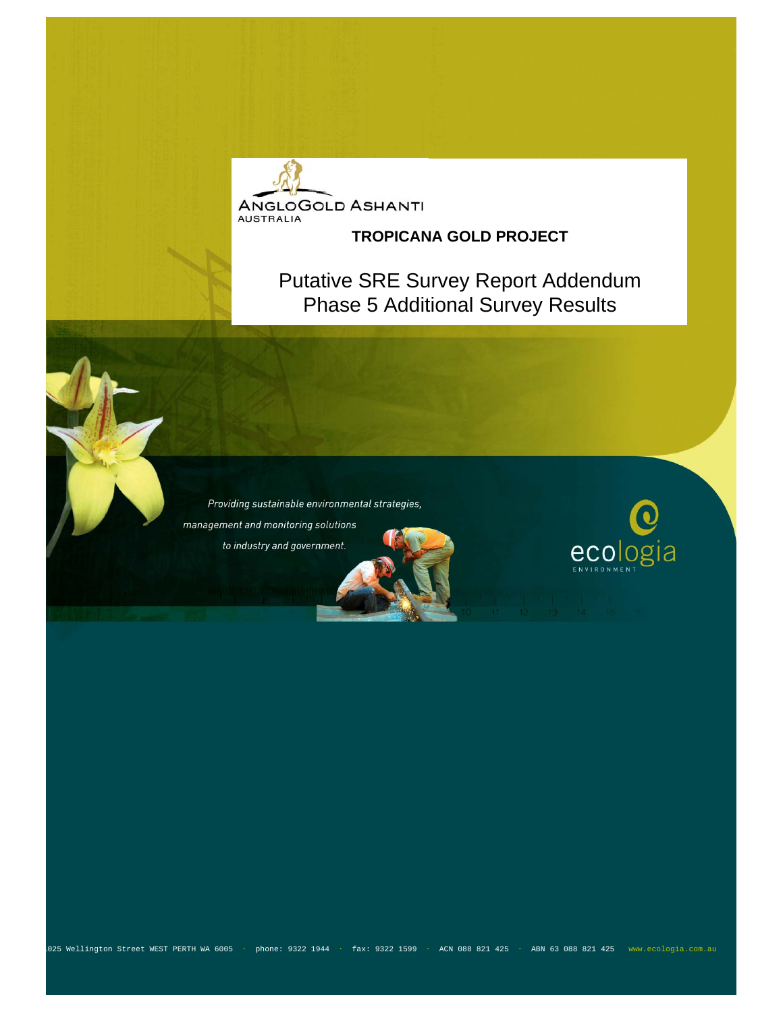

#### **TROPICANA GOLD PROJECT**

Putative SRE Survey Report Addendum Phase 5 Additional Survey Results

Providing sustainable environmental strategies, management and monitoring solutions to industry and government.



1025 Wellington Street WEST PERTH WA 6005 ・ phone: 9322 1944 ・ fax: 9322 1599 ・ ACN 088 821 425 ・ ABN 63 088 821 425 www.ecologia.com.au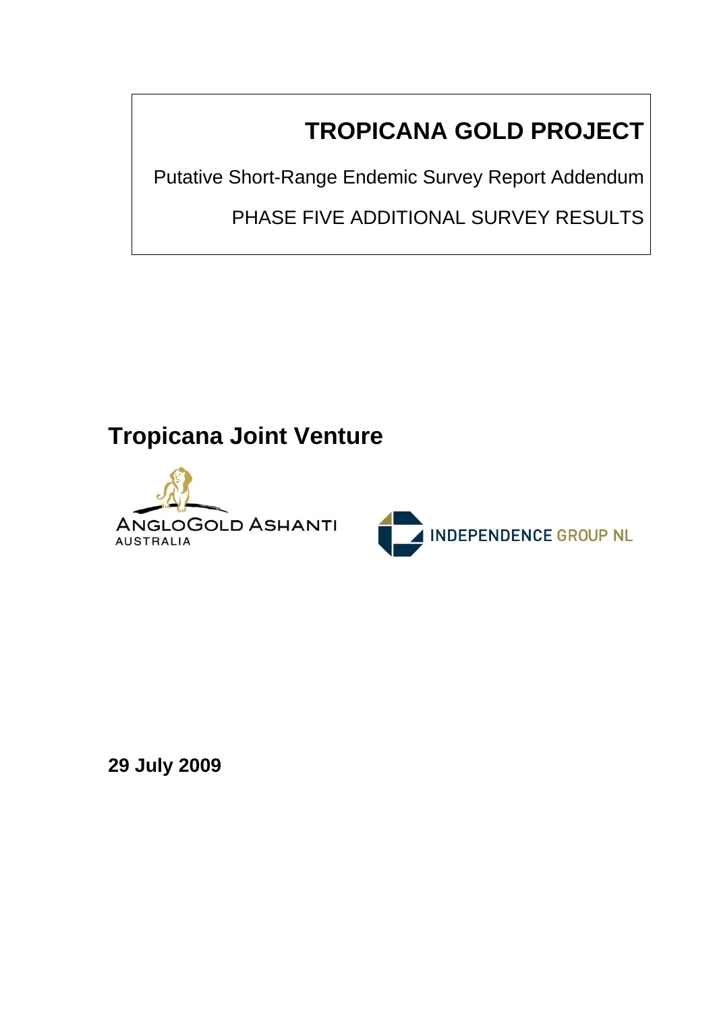# **TROPICANA GOLD PROJECT**

Putative Short-Range Endemic Survey Report Addendum

PHASE FIVE ADDITIONAL SURVEY RESULTS

## **Tropicana Joint Venture**





**29 July 2009**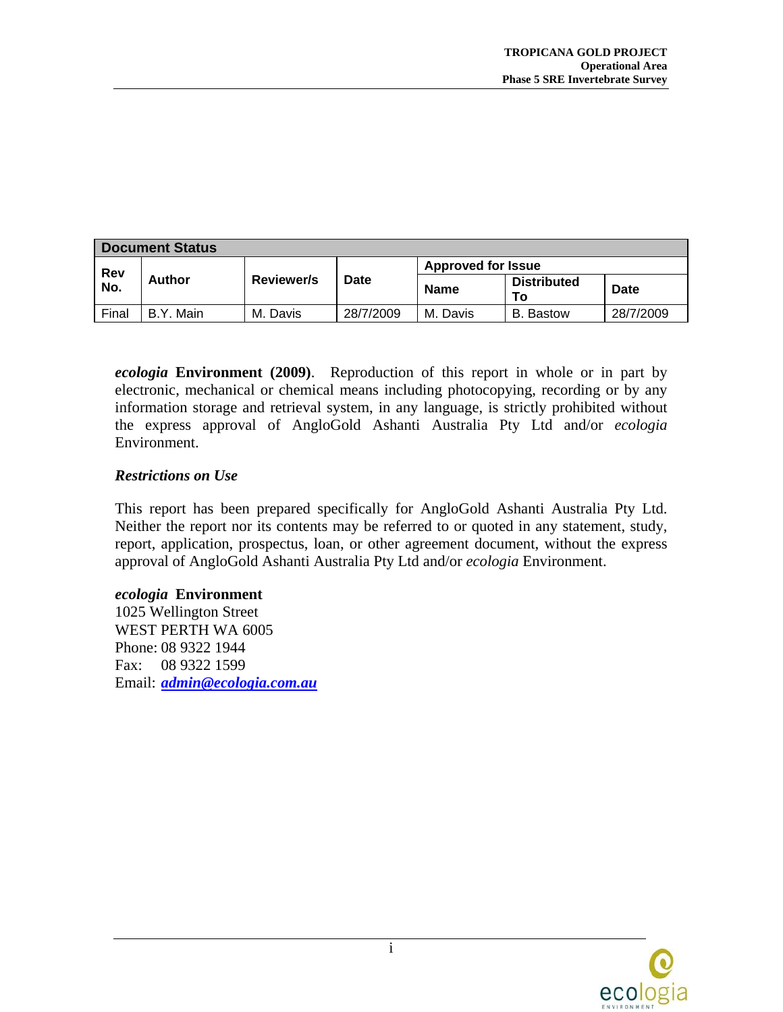| <b>Document Status</b> |           |                   |           |                           |                          |           |  |  |
|------------------------|-----------|-------------------|-----------|---------------------------|--------------------------|-----------|--|--|
| Rev<br>No.             | Author    | <b>Reviewer/s</b> | Date      | <b>Approved for Issue</b> |                          |           |  |  |
|                        |           |                   |           | <b>Name</b>               | <b>Distributed</b><br>10 | Date      |  |  |
| Final                  | B.Y. Main | M. Davis          | 28/7/2009 | M. Davis                  | B. Bastow                | 28/7/2009 |  |  |

*ecologia* **Environment (2009)**. Reproduction of this report in whole or in part by electronic, mechanical or chemical means including photocopying, recording or by any information storage and retrieval system, in any language, is strictly prohibited without the express approval of AngloGold Ashanti Australia Pty Ltd and/or *ecologia* Environment.

#### *Restrictions on Use*

This report has been prepared specifically for AngloGold Ashanti Australia Pty Ltd. Neither the report nor its contents may be referred to or quoted in any statement, study, report, application, prospectus, loan, or other agreement document, without the express approval of AngloGold Ashanti Australia Pty Ltd and/or *ecologia* Environment.

#### *ecologia* **Environment**

1025 Wellington Street WEST PERTH WA 6005 Phone: 08 9322 1944 Fax: 08 9322 1599 Email: *[admin@ecologia.com.au](mailto:admin@ecologia.com.au)*

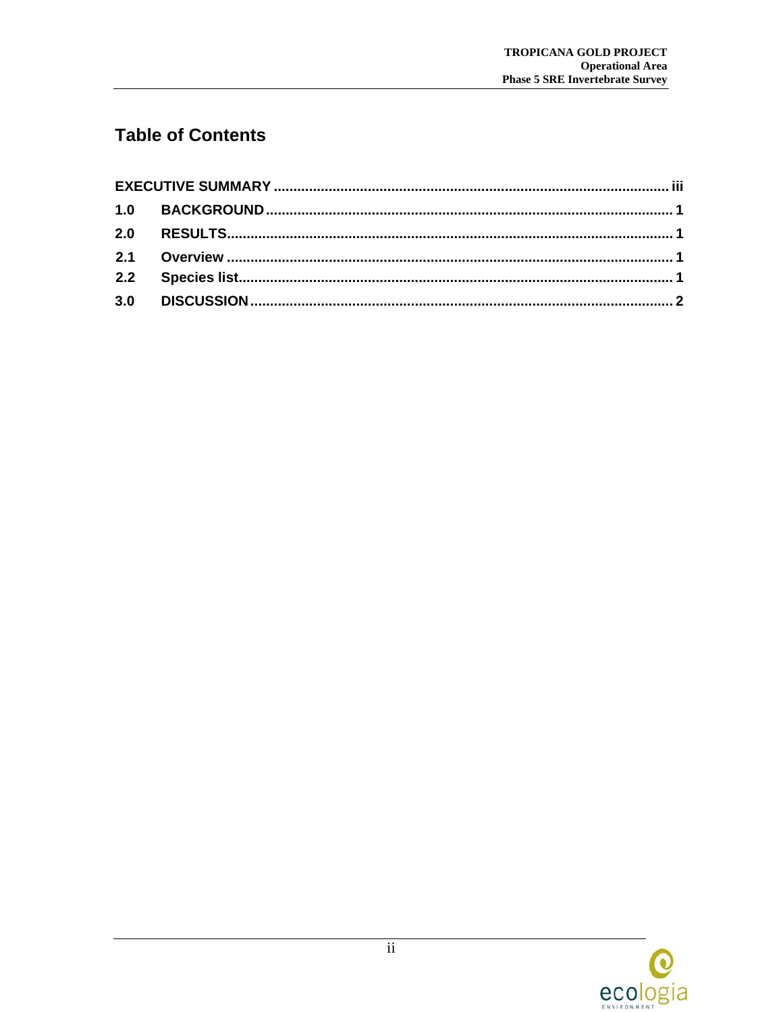### **Table of Contents**

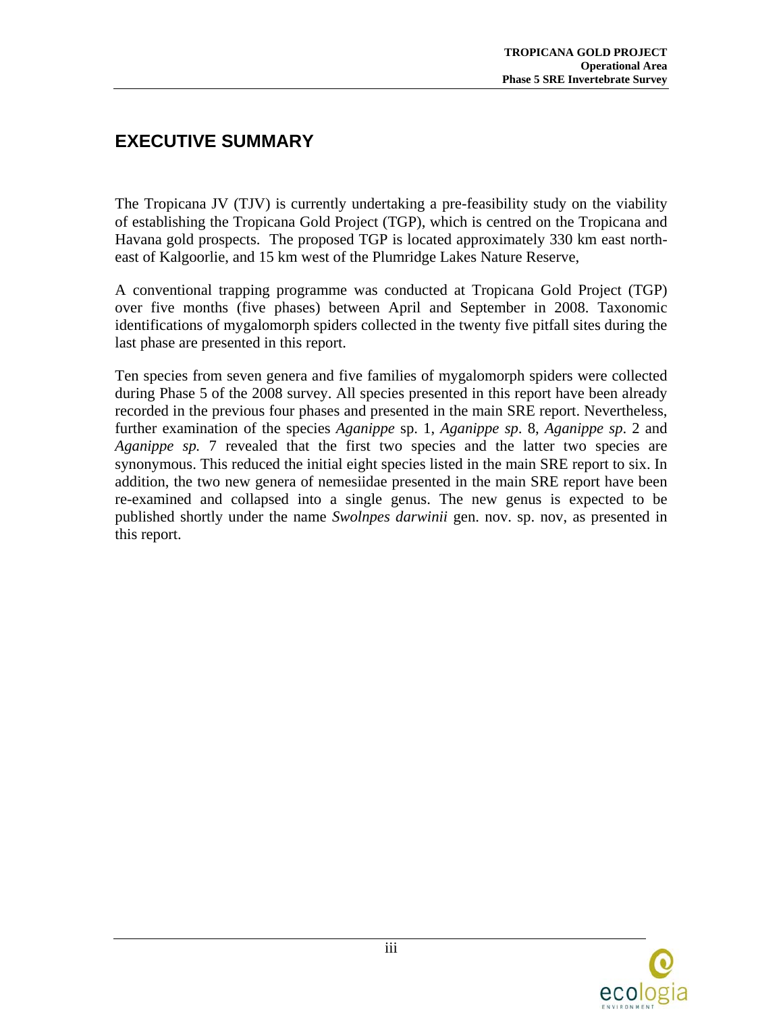#### <span id="page-4-0"></span>**EXECUTIVE SUMMARY**

The Tropicana JV (TJV) is currently undertaking a pre-feasibility study on the viability of establishing the Tropicana Gold Project (TGP), which is centred on the Tropicana and Havana gold prospects. The proposed TGP is located approximately 330 km east northeast of Kalgoorlie, and 15 km west of the Plumridge Lakes Nature Reserve,

A conventional trapping programme was conducted at Tropicana Gold Project (TGP) over five months (five phases) between April and September in 2008. Taxonomic identifications of mygalomorph spiders collected in the twenty five pitfall sites during the last phase are presented in this report.

Ten species from seven genera and five families of mygalomorph spiders were collected during Phase 5 of the 2008 survey. All species presented in this report have been already recorded in the previous four phases and presented in the main SRE report. Nevertheless, further examination of the species *Aganippe* sp. 1, *Aganippe sp*. 8, *Aganippe sp*. 2 and *Aganippe sp.* 7 revealed that the first two species and the latter two species are synonymous. This reduced the initial eight species listed in the main SRE report to six. In addition, the two new genera of nemesiidae presented in the main SRE report have been re-examined and collapsed into a single genus. The new genus is expected to be published shortly under the name *Swolnpes darwinii* gen. nov. sp. nov, as presented in this report.

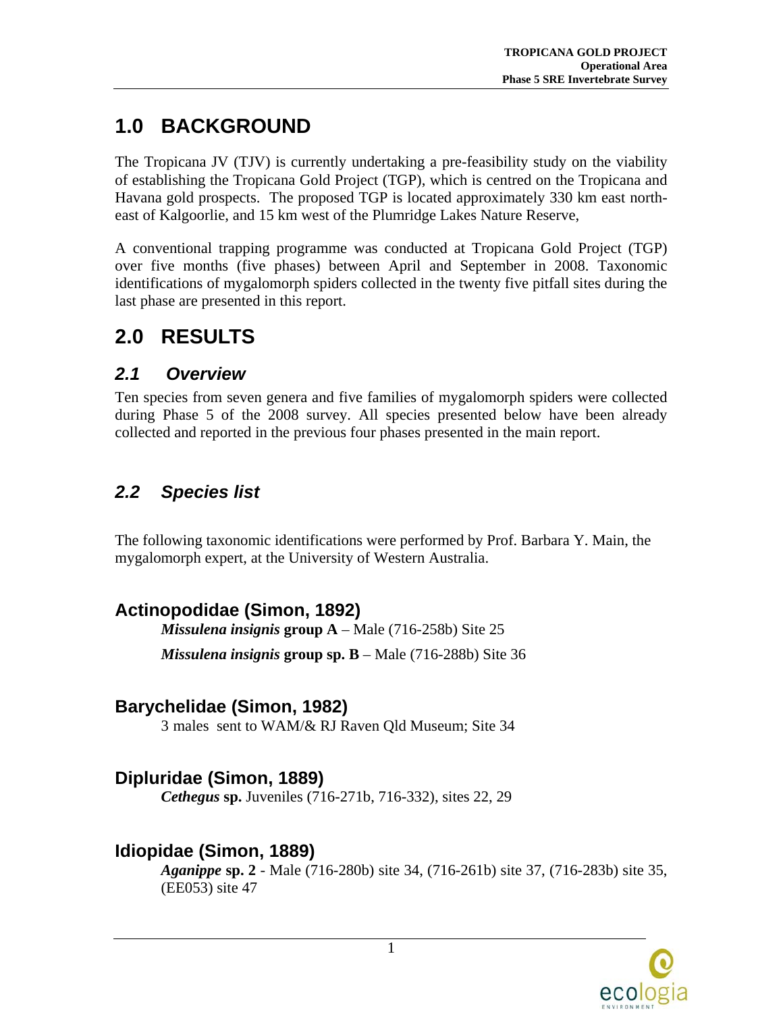## <span id="page-5-0"></span>**1.0 BACKGROUND**

The Tropicana JV (TJV) is currently undertaking a pre-feasibility study on the viability of establishing the Tropicana Gold Project (TGP), which is centred on the Tropicana and Havana gold prospects. The proposed TGP is located approximately 330 km east northeast of Kalgoorlie, and 15 km west of the Plumridge Lakes Nature Reserve,

A conventional trapping programme was conducted at Tropicana Gold Project (TGP) over five months (five phases) between April and September in 2008. Taxonomic identifications of mygalomorph spiders collected in the twenty five pitfall sites during the last phase are presented in this report.

### **2.0 RESULTS**

#### *2.1 Overview*

Ten species from seven genera and five families of mygalomorph spiders were collected during Phase 5 of the 2008 survey. All species presented below have been already collected and reported in the previous four phases presented in the main report.

### *2.2 Species list*

The following taxonomic identifications were performed by Prof. Barbara Y. Main, the mygalomorph expert, at the University of Western Australia.

### **Actinopodidae (Simon, 1892)**

*Missulena insignis* **group A** – Male (716-258b) Site 25 *Missulena insignis* **group sp. B** – Male (716-288b) Site 36

#### **Barychelidae (Simon, 1982)**

3 males sent to WAM/& RJ Raven Qld Museum; Site 34

#### **Dipluridae (Simon, 1889)**

*Cethegus* **sp.** Juveniles (716-271b, 716-332), sites 22, 29

#### **Idiopidae (Simon, 1889)**

*Aganippe* **sp. 2** - Male (716-280b) site 34, (716-261b) site 37, (716-283b) site 35, (EE053) site 47

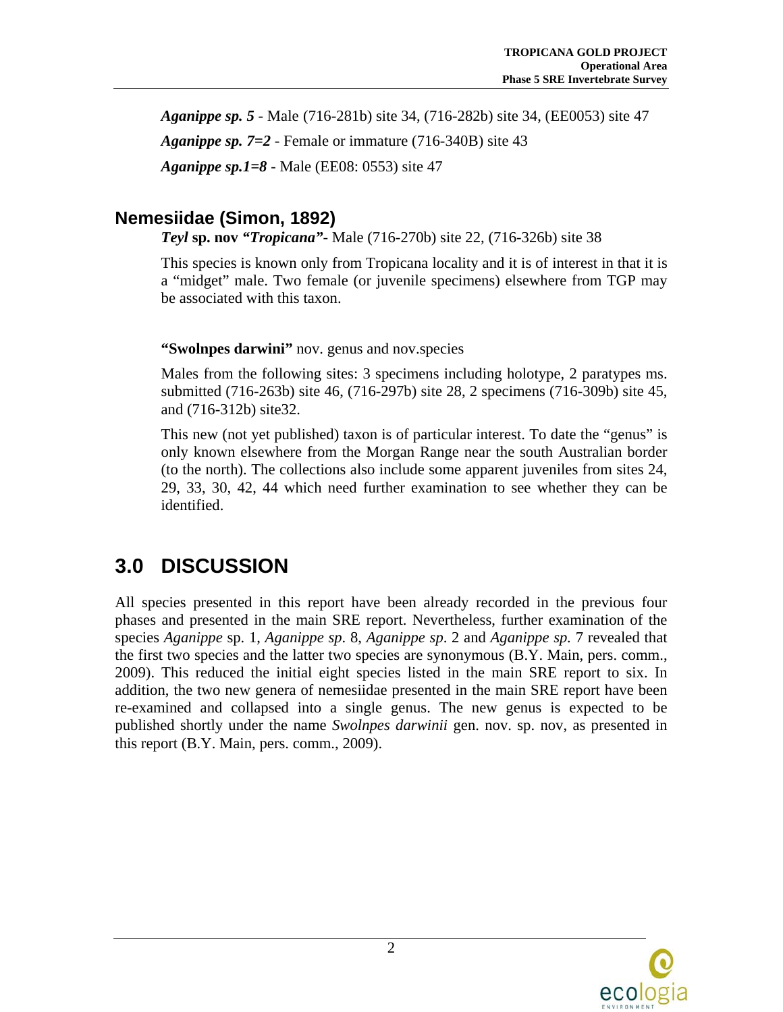<span id="page-6-0"></span>*Aganippe sp. 5* - Male (716-281b) site 34, (716-282b) site 34, (EE0053) site 47 *Aganippe sp. 7=2* - Female or immature (716-340B) site 43 *Aganippe sp.1=8* - Male (EE08: 0553) site 47

#### **Nemesiidae (Simon, 1892)**

*Teyl* **sp. nov** *"Tropicana"*- Male (716-270b) site 22, (716-326b) site 38

This species is known only from Tropicana locality and it is of interest in that it is a "midget" male. Two female (or juvenile specimens) elsewhere from TGP may be associated with this taxon.

**"Swolnpes darwini"** nov. genus and nov.species

Males from the following sites: 3 specimens including holotype, 2 paratypes ms. submitted (716-263b) site 46, (716-297b) site 28, 2 specimens (716-309b) site 45, and (716-312b) site32.

This new (not yet published) taxon is of particular interest. To date the "genus" is only known elsewhere from the Morgan Range near the south Australian border (to the north). The collections also include some apparent juveniles from sites 24, 29, 33, 30, 42, 44 which need further examination to see whether they can be identified.

## **3.0 DISCUSSION**

All species presented in this report have been already recorded in the previous four phases and presented in the main SRE report. Nevertheless, further examination of the species *Aganippe* sp. 1, *Aganippe sp*. 8, *Aganippe sp*. 2 and *Aganippe sp.* 7 revealed that the first two species and the latter two species are synonymous (B.Y. Main, pers. comm., 2009). This reduced the initial eight species listed in the main SRE report to six. In addition, the two new genera of nemesiidae presented in the main SRE report have been re-examined and collapsed into a single genus. The new genus is expected to be published shortly under the name *Swolnpes darwinii* gen. nov. sp. nov, as presented in this report (B.Y. Main, pers. comm., 2009).